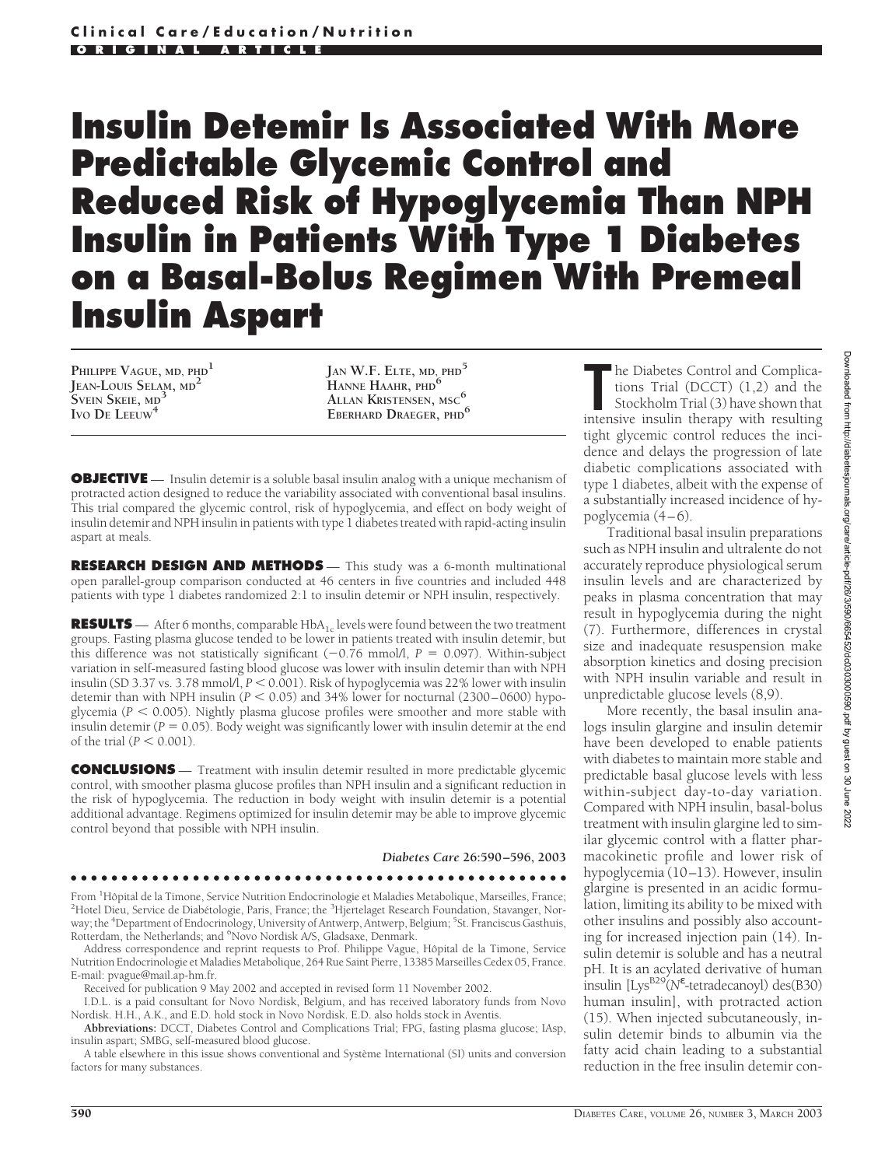# **Insulin Detemir Is Associated With More Predictable Glycemic Control and Reduced Risk of Hypoglycemia Than NPH Insulin in Patients With Type 1 Diabetes on a Basal-Bolus Regimen With Premeal Insulin Aspart**

**PHILIPPE VAGUE, MD, PHD<sup>1</sup> JEAN-LOUIS SELAM, MD<sup>2</sup> SVEIN SKEIE, MD<sup>3</sup> IVO DE LEEUW<sup>4</sup>**

**JAN W.F. ELTE, MD, PHD<sup>5</sup> HANNE HAAHR, PHD<sup>6</sup> ALLAN KRISTENSEN, MSC<sup>6</sup> EBERHARD DRAEGER, PHD<sup>6</sup>**

**OBJECTIVE** — Insulin detemir is a soluble basal insulin analog with a unique mechanism of protracted action designed to reduce the variability associated with conventional basal insulins. This trial compared the glycemic control, risk of hypoglycemia, and effect on body weight of insulin detemir and NPH insulin in patients with type 1 diabetes treated with rapid-acting insulin aspart at meals.

**RESEARCH DESIGN AND METHODS** - This study was a 6-month multinational open parallel-group comparison conducted at 46 centers in five countries and included 448 patients with type 1 diabetes randomized 2:1 to insulin detemir or NPH insulin, respectively.

**RESULTS** — After 6 months, comparable HbA<sub>1c</sub> levels were found between the two treatment groups. Fasting plasma glucose tended to be lower in patients treated with insulin detemir, but this difference was not statistically significant  $(-0.76 \text{ mmol/l}, P = 0.097)$ . Within-subject variation in self-measured fasting blood glucose was lower with insulin detemir than with NPH insulin (SD 3.37 vs. 3.78 mmol/l,  $P < 0.001$ ). Risk of hypoglycemia was 22% lower with insulin detemir than with NPH insulin ( $P < 0.05$ ) and 34% lower for nocturnal (2300–0600) hypoglycemia ( $P < 0.005$ ). Nightly plasma glucose profiles were smoother and more stable with insulin detemir ( $P = 0.05$ ). Body weight was significantly lower with insulin detemir at the end of the trial  $(P < 0.001)$ .

**CONCLUSIONS** — Treatment with insulin detemir resulted in more predictable glycemic control, with smoother plasma glucose profiles than NPH insulin and a significant reduction in the risk of hypoglycemia. The reduction in body weight with insulin detemir is a potential additional advantage. Regimens optimized for insulin detemir may be able to improve glycemic control beyond that possible with NPH insulin.

*Diabetes Care* **26:590–596, 2003**

#### ●●●●●●●●●●●●●●●●●●●●●●●●●●●●●●●●●●●●●●●●●●●●●●●●●

From <sup>1</sup>Hôpital de la Timone, Service Nutrition Endocrinologie et Maladies Metabolique, Marseilles, France;<br><sup>2</sup>Hotel Dieu, Service de Diabétologie, Paris, France: the <sup>3</sup>Hiertelaget Research Equadation, Stavanger, Nor-Hotel Dieu, Service de Diabétologie, Paris, France; the <sup>3</sup>Hjertelaget Research Foundation, Stavanger, Norway; the <sup>4</sup>Department of Endocrinology, University of Antwerp, Antwerp, Belgium; <sup>5</sup>St. Franciscus Gasthuis, Rotterdam, the Netherlands; and <sup>6</sup>Novo Nordisk A/S, Gladsaxe, Denmark.

Address correspondence and reprint requests to Prof. Philippe Vague, Hôpital de la Timone, Service Nutrition Endocrinologie et Maladies Metabolique, 264 Rue Saint Pierre, 13385 Marseilles Cedex 05, France. E-mail: pvague@mail.ap-hm.fr.

Received for publication 9 May 2002 and accepted in revised form 11 November 2002.

I.D.L. is a paid consultant for Novo Nordisk, Belgium, and has received laboratory funds from Novo Nordisk. H.H., A.K., and E.D. hold stock in Novo Nordisk. E.D. also holds stock in Aventis.

**Abbreviations:** DCCT, Diabetes Control and Complications Trial; FPG, fasting plasma glucose; IAsp, insulin aspart; SMBG, self-measured blood glucose.

A table elsewhere in this issue shows conventional and Système International (SI) units and conversion factors for many substances.

**The Diabetes Control and Complications Trial (DCCT) (1,2) and the Stockholm Trial (3) have shown that intensive insulin therapy with resulting** he Diabetes Control and Complications Trial (DCCT) (1,2) and the Stockholm Trial (3) have shown that tight glycemic control reduces the incidence and delays the progression of late diabetic complications associated with type 1 diabetes, albeit with the expense of a substantially increased incidence of hypoglycemia (4–6).

Traditional basal insulin preparations such as NPH insulin and ultralente do not accurately reproduce physiological serum insulin levels and are characterized by peaks in plasma concentration that may result in hypoglycemia during the night (7). Furthermore, differences in crystal size and inadequate resuspension make absorption kinetics and dosing precision with NPH insulin variable and result in unpredictable glucose levels (8,9).

More recently, the basal insulin analogs insulin glargine and insulin detemir have been developed to enable patients with diabetes to maintain more stable and predictable basal glucose levels with less within-subject day-to-day variation. Compared with NPH insulin, basal-bolus treatment with insulin glargine led to similar glycemic control with a flatter pharmacokinetic profile and lower risk of hypoglycemia (10–13). However, insulin glargine is presented in an acidic formulation, limiting its ability to be mixed with other insulins and possibly also accounting for increased injection pain (14). Insulin detemir is soluble and has a neutral pH. It is an acylated derivative of human •<br>insulin [Lys<sup>B29</sup>(N<sup>ε</sup>-tetradecanoyl) des(B30) human insulin], with protracted action (15). When injected subcutaneously, insulin detemir binds to albumin via the fatty acid chain leading to a substantial reduction in the free insulin detemir con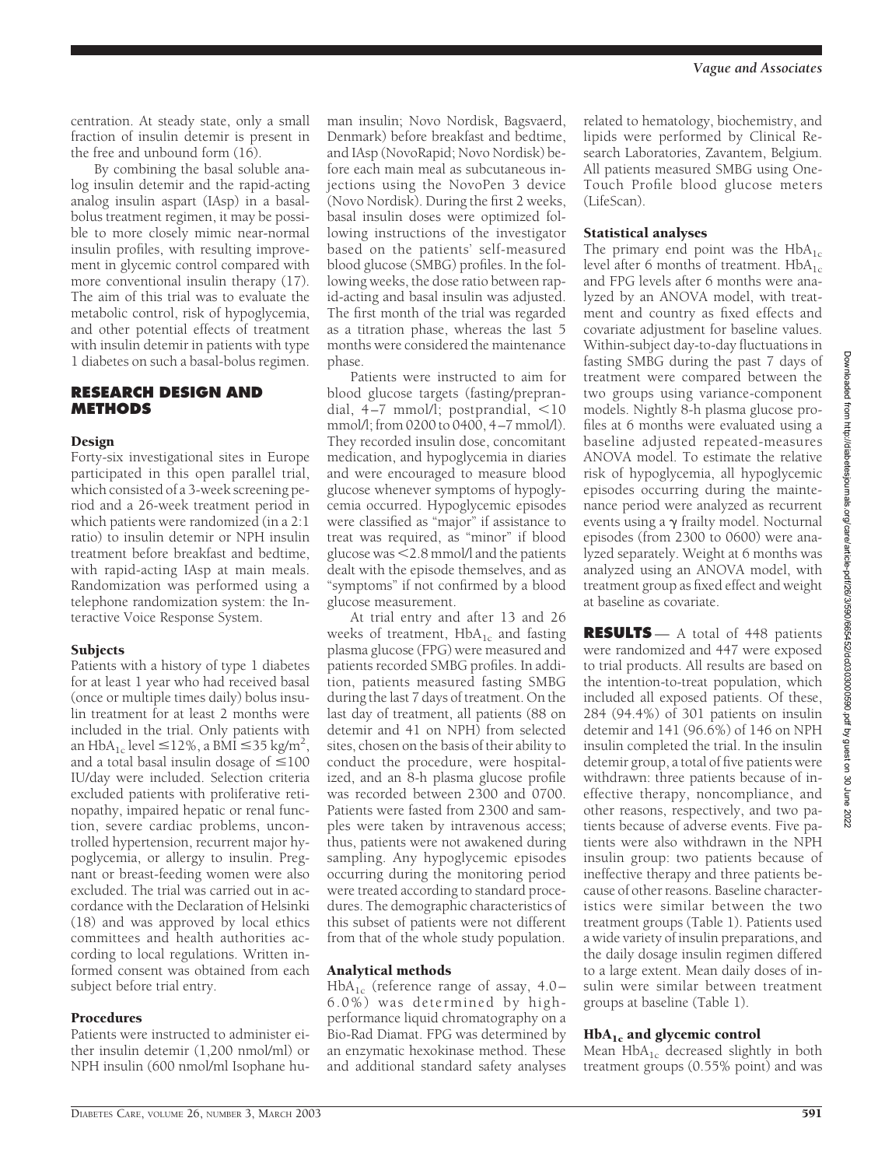centration. At steady state, only a small fraction of insulin detemir is present in the free and unbound form (16).

By combining the basal soluble analog insulin detemir and the rapid-acting analog insulin aspart (IAsp) in a basalbolus treatment regimen, it may be possible to more closely mimic near-normal insulin profiles, with resulting improvement in glycemic control compared with more conventional insulin therapy (17). The aim of this trial was to evaluate the metabolic control, risk of hypoglycemia, and other potential effects of treatment with insulin detemir in patients with type 1 diabetes on such a basal-bolus regimen.

### **RESEARCH DESIGN AND METHODS**

#### Design

Forty-six investigational sites in Europe participated in this open parallel trial, which consisted of a 3-week screening period and a 26-week treatment period in which patients were randomized (in a 2:1 ratio) to insulin detemir or NPH insulin treatment before breakfast and bedtime, with rapid-acting IAsp at main meals. Randomization was performed using a telephone randomization system: the Interactive Voice Response System.

#### Subjects

Patients with a history of type 1 diabetes for at least 1 year who had received basal (once or multiple times daily) bolus insulin treatment for at least 2 months were included in the trial. Only patients with an HbA<sub>1c</sub> level  $\leq$ 12%, a BMI  $\leq$ 35 kg/m<sup>2</sup>, and a total basal insulin dosage of  $\leq 100$ IU/day were included. Selection criteria excluded patients with proliferative retinopathy, impaired hepatic or renal function, severe cardiac problems, uncontrolled hypertension, recurrent major hypoglycemia, or allergy to insulin. Pregnant or breast-feeding women were also excluded. The trial was carried out in accordance with the Declaration of Helsinki (18) and was approved by local ethics committees and health authorities according to local regulations. Written informed consent was obtained from each subject before trial entry.

#### Procedures

Patients were instructed to administer either insulin detemir (1,200 nmol/ml) or NPH insulin (600 nmol/ml Isophane hu-

man insulin; Novo Nordisk, Bagsvaerd, Denmark) before breakfast and bedtime, and IAsp (NovoRapid; Novo Nordisk) before each main meal as subcutaneous injections using the NovoPen 3 device (Novo Nordisk). During the first 2 weeks, basal insulin doses were optimized following instructions of the investigator based on the patients' self-measured blood glucose (SMBG) profiles. In the following weeks, the dose ratio between rapid-acting and basal insulin was adjusted. The first month of the trial was regarded as a titration phase, whereas the last 5 months were considered the maintenance phase.

Patients were instructed to aim for blood glucose targets (fasting/preprandial,  $4-7$  mmol/l; postprandial,  $\lt 10$ mmol/l; from 0200 to 0400, 4–7 mmol/l). They recorded insulin dose, concomitant medication, and hypoglycemia in diaries and were encouraged to measure blood glucose whenever symptoms of hypoglycemia occurred. Hypoglycemic episodes were classified as "major" if assistance to treat was required, as "minor" if blood glucose was  $<$  2.8 mmol/l and the patients dealt with the episode themselves, and as "symptoms" if not confirmed by a blood glucose measurement.

At trial entry and after 13 and 26 weeks of treatment,  $HbA_{1c}$  and fasting plasma glucose (FPG) were measured and patients recorded SMBG profiles. In addition, patients measured fasting SMBG during the last 7 days of treatment. On the last day of treatment, all patients (88 on detemir and 41 on NPH) from selected sites, chosen on the basis of their ability to conduct the procedure, were hospitalized, and an 8-h plasma glucose profile was recorded between 2300 and 0700. Patients were fasted from 2300 and samples were taken by intravenous access; thus, patients were not awakened during sampling. Any hypoglycemic episodes occurring during the monitoring period were treated according to standard procedures. The demographic characteristics of this subset of patients were not different from that of the whole study population.

#### Analytical methods

 $HbA_{1c}$  (reference range of assay, 4.0– 6.0%) was determined by highperformance liquid chromatography on a Bio-Rad Diamat. FPG was determined by an enzymatic hexokinase method. These and additional standard safety analyses

related to hematology, biochemistry, and lipids were performed by Clinical Research Laboratories, Zavantem, Belgium. All patients measured SMBG using One-Touch Profile blood glucose meters (LifeScan).

#### Statistical analyses

The primary end point was the  $HbA_{1c}$ level after 6 months of treatment.  $HbA_{1c}$ and FPG levels after 6 months were analyzed by an ANOVA model, with treatment and country as fixed effects and covariate adjustment for baseline values. Within-subject day-to-day fluctuations in fasting SMBG during the past 7 days of treatment were compared between the two groups using variance-component models. Nightly 8-h plasma glucose profiles at 6 months were evaluated using a baseline adjusted repeated-measures ANOVA model. To estimate the relative risk of hypoglycemia, all hypoglycemic episodes occurring during the maintenance period were analyzed as recurrent events using a  $\gamma$  frailty model. Nocturnal episodes (from 2300 to 0600) were analyzed separately. Weight at 6 months was analyzed using an ANOVA model, with treatment group as fixed effect and weight at baseline as covariate.

**RESULTS** — A total of 448 patients were randomized and 447 were exposed to trial products. All results are based on the intention-to-treat population, which included all exposed patients. Of these, 284 (94.4%) of 301 patients on insulin detemir and 141 (96.6%) of 146 on NPH insulin completed the trial. In the insulin detemir group, a total of five patients were withdrawn: three patients because of ineffective therapy, noncompliance, and other reasons, respectively, and two patients because of adverse events. Five patients were also withdrawn in the NPH insulin group: two patients because of ineffective therapy and three patients because of other reasons. Baseline characteristics were similar between the two treatment groups (Table 1). Patients used a wide variety of insulin preparations, and the daily dosage insulin regimen differed to a large extent. Mean daily doses of insulin were similar between treatment groups at baseline (Table 1).

#### $HbA_{1c}$  and glycemic control

Mean  $HbA_{1c}$  decreased slightly in both treatment groups (0.55% point) and was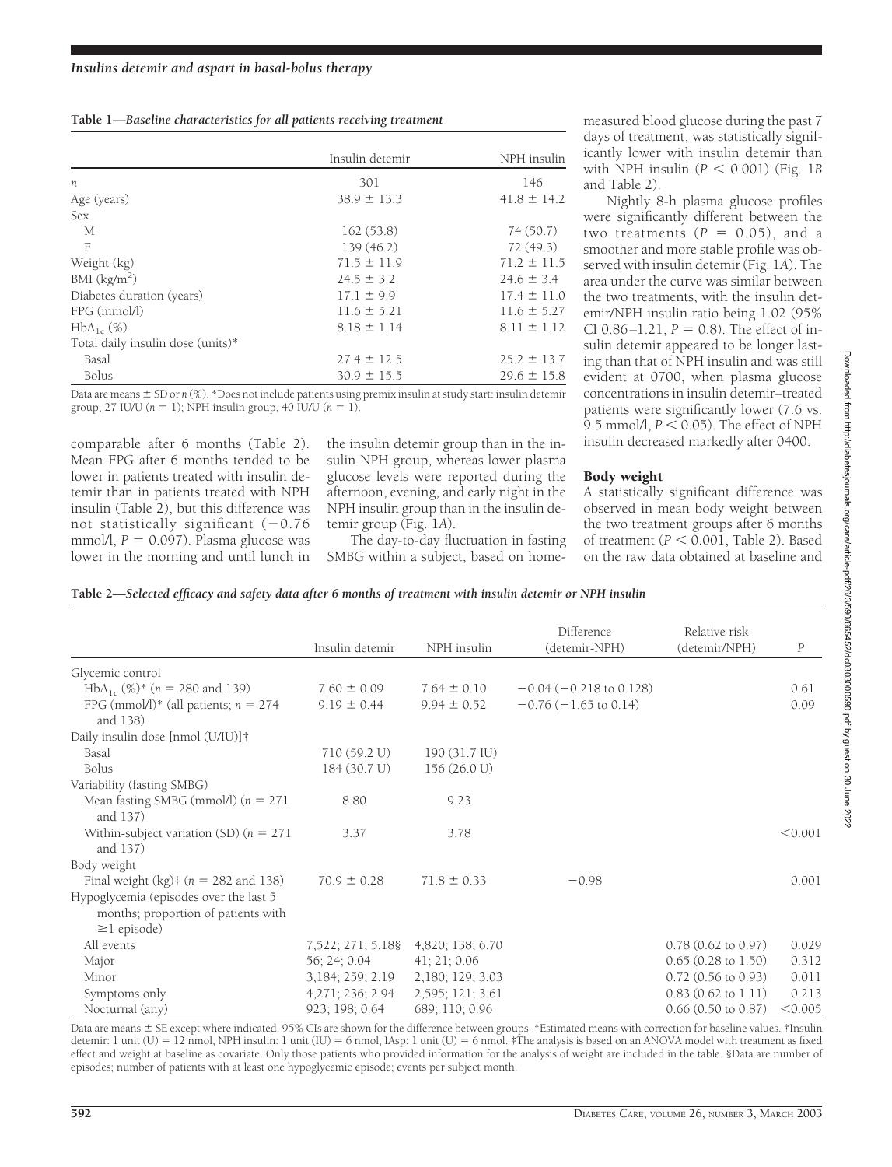| Table 1-Baseline characteristics for all patients receiving treatment |  |  |
|-----------------------------------------------------------------------|--|--|
|                                                                       |  |  |

|                                   | Insulin detemir | NPH insulin<br>146 |  |
|-----------------------------------|-----------------|--------------------|--|
| $\boldsymbol{n}$                  | 301             |                    |  |
| Age (years)                       | $38.9 \pm 13.3$ | $41.8 \pm 14.2$    |  |
| <b>Sex</b>                        |                 |                    |  |
| М                                 | 162(53.8)       | 74(50.7)           |  |
| F                                 | 139 (46.2)      | 72(49.3)           |  |
| Weight (kg)                       | $71.5 \pm 11.9$ | $71.2 \pm 11.5$    |  |
| BMI $(kg/m2)$                     | $24.5 \pm 3.2$  | $24.6 \pm 3.4$     |  |
| Diabetes duration (years)         | $17.1 \pm 9.9$  | $17.4 \pm 11.0$    |  |
| FPG (mmol/l)                      | $11.6 \pm 5.21$ | $11.6 \pm 5.27$    |  |
| $HbA_{1c}$ (%)                    | $8.18 \pm 1.14$ | $8.11 \pm 1.12$    |  |
| Total daily insulin dose (units)* |                 |                    |  |
| Basal                             | $27.4 \pm 12.5$ | $25.2 \pm 13.7$    |  |
| <b>Bolus</b>                      | $30.9 \pm 15.5$ | $29.6 \pm 15.8$    |  |

Data are means  $\pm$  SD or *n* (%). \*Does not include patients using premix insulin at study start: insulin detemir group, 27 IU/U  $(n = 1)$ ; NPH insulin group, 40 IU/U  $(n = 1)$ .

comparable after 6 months (Table 2). Mean FPG after 6 months tended to be lower in patients treated with insulin detemir than in patients treated with NPH insulin (Table 2), but this difference was not statistically significant  $(-0.76$  $mmol/l$ ,  $P = 0.097$ ). Plasma glucose was lower in the morning and until lunch in

the insulin detemir group than in the insulin NPH group, whereas lower plasma glucose levels were reported during the afternoon, evening, and early night in the NPH insulin group than in the insulin detemir group (Fig. 1*A*).

The day-to-day fluctuation in fasting SMBG within a subject, based on home-

measured blood glucose during the past 7 days of treatment, was statistically significantly lower with insulin detemir than with NPH insulin  $(P < 0.001)$  (Fig. 1*B*) and Table 2).

Nightly 8-h plasma glucose profiles were significantly different between the two treatments  $(P = 0.05)$ , and a smoother and more stable profile was observed with insulin detemir (Fig. 1*A*). The area under the curve was similar between the two treatments, with the insulin detemir/NPH insulin ratio being 1.02 (95%  $CI$  0.86 $-1.21$ ,  $P = 0.8$ ). The effect of insulin detemir appeared to be longer lasting than that of NPH insulin and was still evident at 0700, when plasma glucose concentrations in insulin detemir–treated patients were significantly lower (7.6 vs. 9.5 mmol/l,  $P \le 0.05$ ). The effect of NPH insulin decreased markedly after 0400.

#### Body weight

A statistically significant difference was observed in mean body weight between the two treatment groups after 6 months of treatment ( $P < 0.001$ , Table 2). Based on the raw data obtained at baseline and

|  |  |  | Table 2-Selected efficacy and safety data after 6 months of treatment with insulin detemir or NPH insulin |
|--|--|--|-----------------------------------------------------------------------------------------------------------|
|--|--|--|-----------------------------------------------------------------------------------------------------------|

|                                                                                                    | Insulin detemir   | NPH insulin      | Difference<br>(detemir-NPH)     | Relative risk<br>(detemir/NPH) | $\boldsymbol{P}$ |
|----------------------------------------------------------------------------------------------------|-------------------|------------------|---------------------------------|--------------------------------|------------------|
| Glycemic control                                                                                   |                   |                  |                                 |                                |                  |
| HbA <sub>1c</sub> (%)* ( $n = 280$ and 139)                                                        | $7.60 \pm 0.09$   | $7.64 \pm 0.10$  | $-0.04$ ( $-0.218$ to 0.128)    |                                | 0.61             |
| FPG (mmol/l)* (all patients; $n = 274$<br>and 138)                                                 | $9.19 \pm 0.44$   | $9.94 \pm 0.52$  | $-0.76(-1.65 \text{ to } 0.14)$ |                                | 0.09             |
| Daily insulin dose [nmol (U/IU)]†                                                                  |                   |                  |                                 |                                |                  |
| Basal                                                                                              | 710 (59.2 U)      | 190 (31.7 IU)    |                                 |                                |                  |
| <b>Bolus</b>                                                                                       | 184 (30.7 U)      | 156 (26.0 U)     |                                 |                                |                  |
| Variability (fasting SMBG)                                                                         |                   |                  |                                 |                                |                  |
| Mean fasting SMBG (mmol/l) $(n = 271)$<br>and 137)                                                 | 8.80              | 9.23             |                                 |                                |                  |
| Within-subject variation (SD) ( $n = 271$<br>and 137)                                              | 3.37              | 3.78             |                                 |                                | < 0.001          |
| Body weight                                                                                        |                   |                  |                                 |                                |                  |
| Final weight $(kg)$ <sup>‡</sup> ( $n = 282$ and 138)                                              | $70.9 \pm 0.28$   | $71.8 \pm 0.33$  | $-0.98$                         |                                | 0.001            |
| Hypoglycemia (episodes over the last 5<br>months; proportion of patients with<br>$\geq$ 1 episode) |                   |                  |                                 |                                |                  |
| All events                                                                                         | 7,522; 271; 5.18§ | 4,820; 138; 6.70 |                                 | $0.78$ $(0.62$ to $0.97)$      | 0.029            |
| Major                                                                                              | 56; 24; 0.04      | 41; 21; 0.06     |                                 | $0.65(0.28 \text{ to } 1.50)$  | 0.312            |
| Minor                                                                                              | 3, 184; 259; 2.19 | 2,180; 129; 3.03 |                                 | $0.72$ (0.56 to 0.93)          | 0.011            |
| Symptoms only                                                                                      | 4,271; 236; 2.94  | 2,595; 121; 3.61 |                                 | $0.83$ $(0.62$ to $1.11)$      | 0.213            |
| Nocturnal (any)                                                                                    | 923; 198; 0.64    | 689; 110; 0.96   |                                 | $0.66$ $(0.50$ to $0.87)$      | < 0.005          |

Data are means  $\pm$  SE except where indicated. 95% CIs are shown for the difference between groups. \*Estimated means with correction for baseline values. †Insulin detemir: 1 unit (U) = 12 nmol, NPH insulin: 1 unit (IU) = 6 nmol, IAsp: 1 unit (U) = 6 nmol. ‡The analysis is based on an ANOVA model with treatment as fixed effect and weight at baseline as covariate. Only those patients who provided information for the analysis of weight are included in the table. §Data are number of episodes; number of patients with at least one hypoglycemic episode; events per subject month.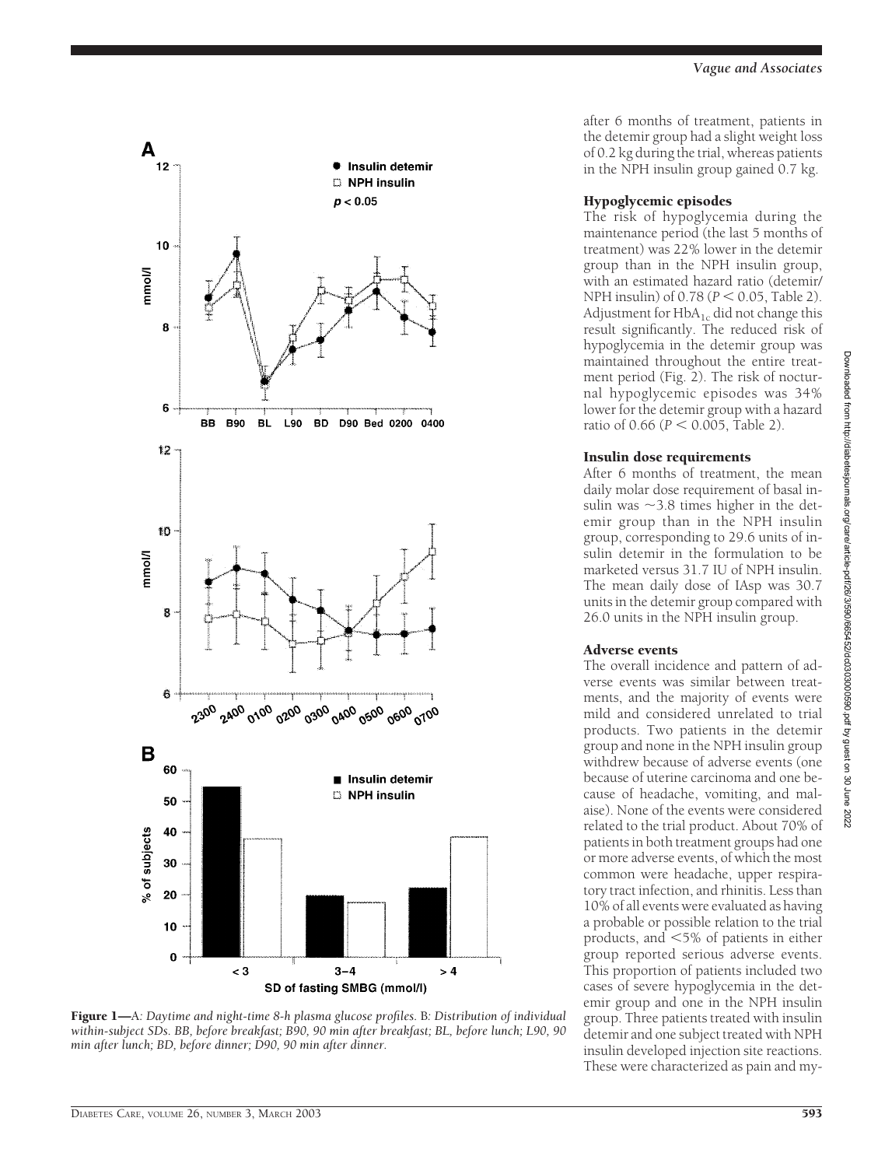

Figure 1—A*: Daytime and night-time 8-h plasma glucose profiles.* B*: Distribution of individual within-subject SDs. BB, before breakfast; B90, 90 min after breakfast; BL, before lunch; L90, 90 min after lunch; BD, before dinner; D90, 90 min after dinner.*

after 6 months of treatment, patients in the detemir group had a slight weight loss of 0.2 kg during the trial, whereas patients in the NPH insulin group gained 0.7 kg.

## Hypoglycemic episodes

The risk of hypoglycemia during the maintenance period (the last 5 months of treatment) was 22% lower in the detemir group than in the NPH insulin group, with an estimated hazard ratio (detemir/ NPH insulin) of  $0.78 (P < 0.05$ , Table 2). Adjustment for  $HbA_{1c}$  did not change this result significantly. The reduced risk of hypoglycemia in the detemir group was maintained throughout the entire treatment period (Fig. 2). The risk of nocturnal hypoglycemic episodes was 34% lower for the detemir group with a hazard ratio of  $0.66$  ( $P < 0.005$ , Table 2).

# Insulin dose requirements

After 6 months of treatment, the mean daily molar dose requirement of basal insulin was  $\sim$ 3.8 times higher in the detemir group than in the NPH insulin group, corresponding to 29.6 units of insulin detemir in the formulation to be marketed versus 31.7 IU of NPH insulin. The mean daily dose of IAsp was 30.7 units in the detemir group compared with 26.0 units in the NPH insulin group.

# Adverse events

The overall incidence and pattern of adverse events was similar between treatments, and the majority of events were mild and considered unrelated to trial products. Two patients in the detemir group and none in the NPH insulin group withdrew because of adverse events (one because of uterine carcinoma and one because of headache, vomiting, and malaise). None of the events were considered related to the trial product. About 70% of patients in both treatment groups had one or more adverse events, of which the most common were headache, upper respiratory tract infection, and rhinitis. Less than 10% of all events were evaluated as having a probable or possible relation to the trial products, and  $<$  5% of patients in either group reported serious adverse events. This proportion of patients included two cases of severe hypoglycemia in the detemir group and one in the NPH insulin group. Three patients treated with insulin detemir and one subject treated with NPH insulin developed injection site reactions. These were characterized as pain and my-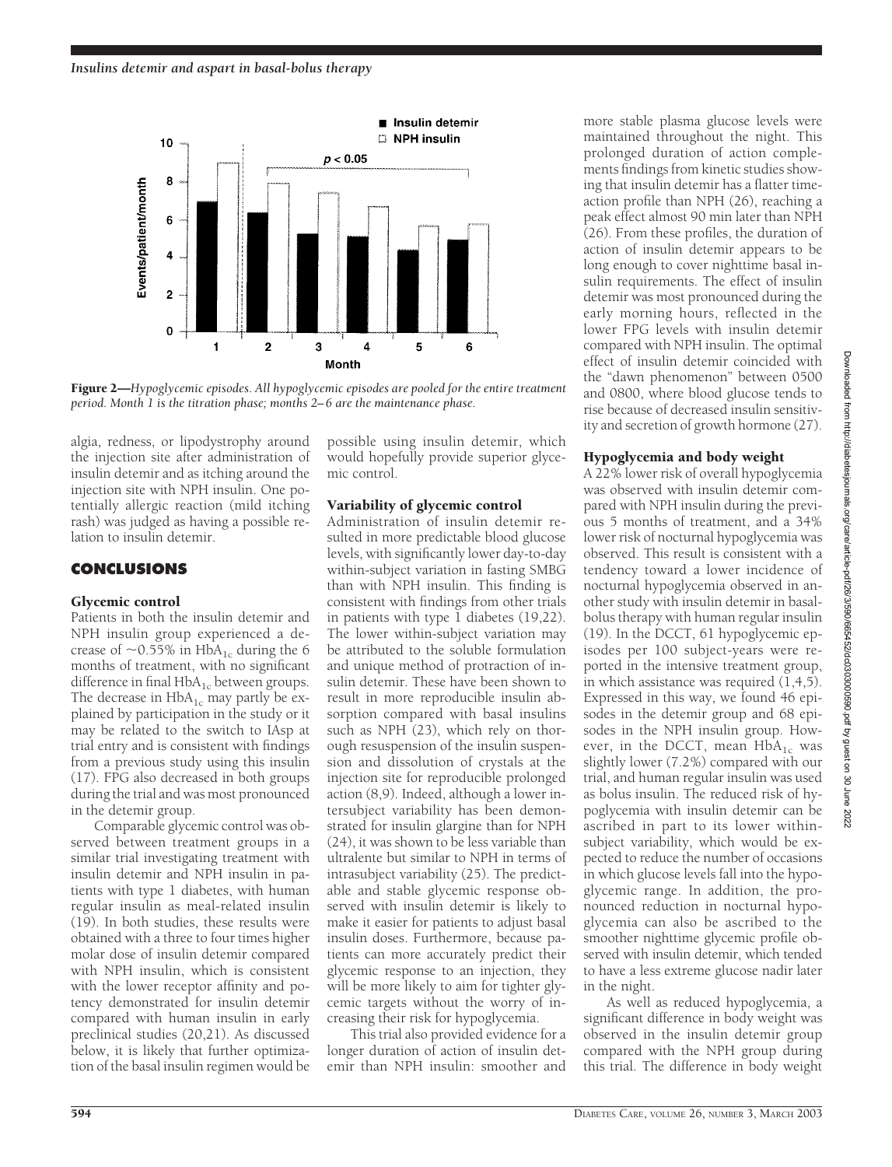

Figure 2—*Hypoglycemic episodes. All hypoglycemic episodes are pooled for the entire treatment period. Month 1 is the titration phase; months 2–6 are the maintenance phase.*

algia, redness, or lipodystrophy around the injection site after administration of insulin detemir and as itching around the injection site with NPH insulin. One potentially allergic reaction (mild itching rash) was judged as having a possible relation to insulin detemir.

## **CONCLUSIONS**

#### Glycemic control

Patients in both the insulin detemir and NPH insulin group experienced a decrease of  $\sim$ 0.55% in HbA<sub>1c</sub> during the 6 months of treatment, with no significant difference in final  $HbA_{1c}$  between groups. The decrease in  $HbA_{1c}$  may partly be explained by participation in the study or it may be related to the switch to IAsp at trial entry and is consistent with findings from a previous study using this insulin (17). FPG also decreased in both groups during the trial and was most pronounced in the detemir group.

Comparable glycemic control was observed between treatment groups in a similar trial investigating treatment with insulin detemir and NPH insulin in patients with type 1 diabetes, with human regular insulin as meal-related insulin (19). In both studies, these results were obtained with a three to four times higher molar dose of insulin detemir compared with NPH insulin, which is consistent with the lower receptor affinity and potency demonstrated for insulin detemir compared with human insulin in early preclinical studies (20,21). As discussed below, it is likely that further optimization of the basal insulin regimen would be

possible using insulin detemir, which would hopefully provide superior glycemic control.

#### Variability of glycemic control

Administration of insulin detemir resulted in more predictable blood glucose levels, with significantly lower day-to-day within-subject variation in fasting SMBG than with NPH insulin. This finding is consistent with findings from other trials in patients with type 1 diabetes (19,22). The lower within-subject variation may be attributed to the soluble formulation and unique method of protraction of insulin detemir. These have been shown to result in more reproducible insulin absorption compared with basal insulins such as NPH (23), which rely on thorough resuspension of the insulin suspension and dissolution of crystals at the injection site for reproducible prolonged action (8,9). Indeed, although a lower intersubject variability has been demonstrated for insulin glargine than for NPH (24), it was shown to be less variable than ultralente but similar to NPH in terms of intrasubject variability (25). The predictable and stable glycemic response observed with insulin detemir is likely to make it easier for patients to adjust basal insulin doses. Furthermore, because patients can more accurately predict their glycemic response to an injection, they will be more likely to aim for tighter glycemic targets without the worry of increasing their risk for hypoglycemia.

This trial also provided evidence for a longer duration of action of insulin detemir than NPH insulin: smoother and

more stable plasma glucose levels were maintained throughout the night. This prolonged duration of action complements findings from kinetic studies showing that insulin detemir has a flatter timeaction profile than NPH (26), reaching a peak effect almost 90 min later than NPH (26). From these profiles, the duration of action of insulin detemir appears to be long enough to cover nighttime basal insulin requirements. The effect of insulin detemir was most pronounced during the early morning hours, reflected in the lower FPG levels with insulin detemir compared with NPH insulin. The optimal effect of insulin detemir coincided with the "dawn phenomenon" between 0500 and 0800, where blood glucose tends to rise because of decreased insulin sensitivity and secretion of growth hormone (27).

## Hypoglycemia and body weight

A 22% lower risk of overall hypoglycemia was observed with insulin detemir compared with NPH insulin during the previous 5 months of treatment, and a 34% lower risk of nocturnal hypoglycemia was observed. This result is consistent with a tendency toward a lower incidence of nocturnal hypoglycemia observed in another study with insulin detemir in basalbolus therapy with human regular insulin (19). In the DCCT, 61 hypoglycemic episodes per 100 subject-years were reported in the intensive treatment group, in which assistance was required (1,4,5). Expressed in this way, we found 46 episodes in the detemir group and 68 episodes in the NPH insulin group. However, in the DCCT, mean  $HbA_{1c}$  was slightly lower (7.2%) compared with our trial, and human regular insulin was used as bolus insulin. The reduced risk of hypoglycemia with insulin detemir can be ascribed in part to its lower withinsubject variability, which would be expected to reduce the number of occasions in which glucose levels fall into the hypoglycemic range. In addition, the pronounced reduction in nocturnal hypoglycemia can also be ascribed to the smoother nighttime glycemic profile observed with insulin detemir, which tended to have a less extreme glucose nadir later in the night.

As well as reduced hypoglycemia, a significant difference in body weight was observed in the insulin detemir group compared with the NPH group during this trial. The difference in body weight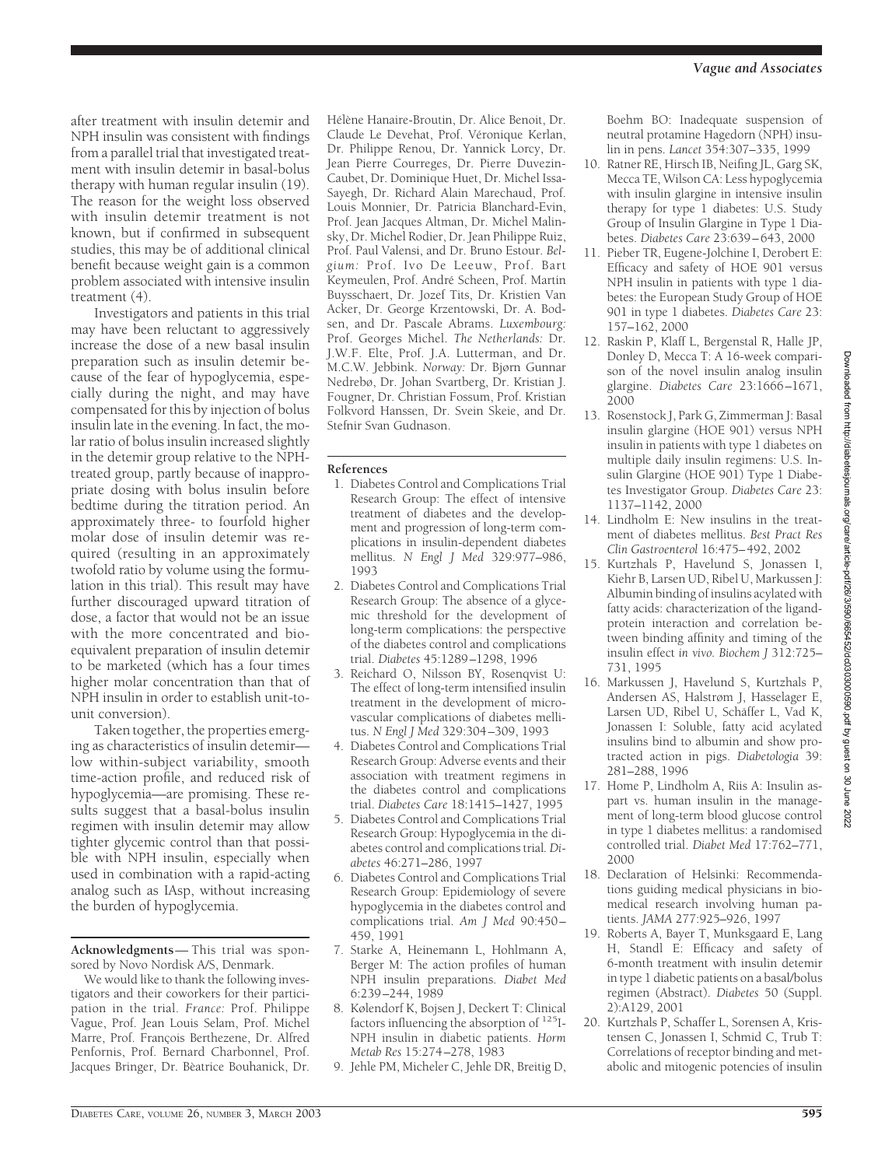after treatment with insulin detemir and NPH insulin was consistent with findings from a parallel trial that investigated treatment with insulin detemir in basal-bolus therapy with human regular insulin (19). The reason for the weight loss observed with insulin detemir treatment is not known, but if confirmed in subsequent studies, this may be of additional clinical benefit because weight gain is a common problem associated with intensive insulin treatment (4).

Investigators and patients in this trial may have been reluctant to aggressively increase the dose of a new basal insulin preparation such as insulin detemir because of the fear of hypoglycemia, especially during the night, and may have compensated for this by injection of bolus insulin late in the evening. In fact, the molar ratio of bolus insulin increased slightly in the detemir group relative to the NPHtreated group, partly because of inappropriate dosing with bolus insulin before bedtime during the titration period. An approximately three- to fourfold higher molar dose of insulin detemir was required (resulting in an approximately twofold ratio by volume using the formulation in this trial). This result may have further discouraged upward titration of dose, a factor that would not be an issue with the more concentrated and bioequivalent preparation of insulin detemir to be marketed (which has a four times higher molar concentration than that of NPH insulin in order to establish unit-tounit conversion).

Taken together, the properties emerging as characteristics of insulin detemir low within-subject variability, smooth time-action profile, and reduced risk of hypoglycemia—are promising. These results suggest that a basal-bolus insulin regimen with insulin detemir may allow tighter glycemic control than that possible with NPH insulin, especially when used in combination with a rapid-acting analog such as IAsp, without increasing the burden of hypoglycemia.

**Acknowledgments**— This trial was sponsored by Novo Nordisk A/S, Denmark.

We would like to thank the following investigators and their coworkers for their participation in the trial. *France:* Prof. Philippe Vague, Prof. Jean Louis Selam, Prof. Michel Marre, Prof. François Berthezene, Dr. Alfred Penfornis, Prof. Bernard Charbonnel, Prof. Jacques Bringer, Dr. Bèatrice Bouhanick, Dr.

Hélène Hanaire-Broutin, Dr. Alice Benoit, Dr. Claude Le Devehat, Prof. Véronique Kerlan, Dr. Philippe Renou, Dr. Yannick Lorcy, Dr. Jean Pierre Courreges, Dr. Pierre Duvezin-Caubet, Dr. Dominique Huet, Dr. Michel Issa-Sayegh, Dr. Richard Alain Marechaud, Prof. Louis Monnier, Dr. Patricia Blanchard-Evin, Prof. Jean Jacques Altman, Dr. Michel Malinsky, Dr. Michel Rodier, Dr. Jean Philippe Ruiz, Prof. Paul Valensi, and Dr. Bruno Estour. *Belgium:* Prof. Ivo De Leeuw, Prof. Bart Keymeulen, Prof. Andre´ Scheen, Prof. Martin Buysschaert, Dr. Jozef Tits, Dr. Kristien Van Acker, Dr. George Krzentowski, Dr. A. Bodsen, and Dr. Pascale Abrams. *Luxembourg:* Prof. Georges Michel. *The Netherlands:* Dr. J.W.F. Elte, Prof. J.A. Lutterman, and Dr. M.C.W. Jebbink. *Norway:* Dr. Bjørn Gunnar Nedrebø, Dr. Johan Svartberg, Dr. Kristian J. Fougner, Dr. Christian Fossum, Prof. Kristian Folkvord Hanssen, Dr. Svein Skeie, and Dr. Stefnir Svan Gudnason.

#### **References**

- 1. Diabetes Control and Complications Trial Research Group: The effect of intensive treatment of diabetes and the development and progression of long-term complications in insulin-dependent diabetes mellitus. *N Engl J Med* 329:977–986, 1993
- 2. Diabetes Control and Complications Trial Research Group: The absence of a glycemic threshold for the development of long-term complications: the perspective of the diabetes control and complications trial. *Diabetes* 45:1289–1298, 1996
- 3. Reichard O, Nilsson BY, Rosenqvist U: The effect of long-term intensified insulin treatment in the development of microvascular complications of diabetes mellitus. *N Engl J Med* 329:304–309, 1993
- 4. Diabetes Control and Complications Trial Research Group: Adverse events and their association with treatment regimens in the diabetes control and complications trial. *Diabetes Care* 18:1415–1427, 1995
- 5. Diabetes Control and Complications Trial Research Group: Hypoglycemia in the diabetes control and complications trial*. Diabetes* 46:271–286, 1997
- 6. Diabetes Control and Complications Trial Research Group: Epidemiology of severe hypoglycemia in the diabetes control and complications trial. *Am J Med* 90:450– 459, 1991
- 7. Starke A, Heinemann L, Hohlmann A, Berger M: The action profiles of human NPH insulin preparations. *Diabet Med* 6:239–244, 1989
- 8. Kølendorf K, Bojsen J, Deckert T: Clinical factors influencing the absorption of 125I-NPH insulin in diabetic patients. *Horm Metab Res* 15:274–278, 1983
- 9. Jehle PM, Micheler C, Jehle DR, Breitig D,

Boehm BO: Inadequate suspension of neutral protamine Hagedorn (NPH) insulin in pens. *Lancet* 354:307–335, 1999

- 10. Ratner RE, Hirsch IB, Neifing JL, Garg SK, Mecca TE, Wilson CA: Less hypoglycemia with insulin glargine in intensive insulin therapy for type 1 diabetes: U.S. Study Group of Insulin Glargine in Type 1 Diabetes. *Diabetes Care* 23:639–643, 2000
- 11. Pieber TR, Eugene-Jolchine I, Derobert E: Efficacy and safety of HOE 901 versus NPH insulin in patients with type 1 diabetes: the European Study Group of HOE 901 in type 1 diabetes. *Diabetes Care* 23: 157–162, 2000
- 12. Raskin P, Klaff L, Bergenstal R, Halle JP, Donley D, Mecca T: A 16-week comparison of the novel insulin analog insulin glargine. *Diabetes Care* 23:1666–1671, 2000
- 13. Rosenstock J, Park G, Zimmerman J: Basal insulin glargine (HOE 901) versus NPH insulin in patients with type 1 diabetes on multiple daily insulin regimens: U.S. Insulin Glargine (HOE 901) Type 1 Diabetes Investigator Group. *Diabetes Care* 23: 1137–1142, 2000
- 14. Lindholm E: New insulins in the treatment of diabetes mellitus. *Best Pract Res Clin Gastroenterol* 16:475–492, 2002
- 15. Kurtzhals P, Havelund S, Jonassen I, Kiehr B, Larsen UD, Ribel U, Markussen J: Albumin binding of insulins acylated with fatty acids: characterization of the ligandprotein interaction and correlation between binding affinity and timing of the insulin effect *in vivo. Biochem J* 312:725– 731, 1995
- 16. Markussen J, Havelund S, Kurtzhals P, Andersen AS, Halstrøm J, Hasselager E, Larsen UD, Ribel U, Schäffer L, Vad K, Jonassen I: Soluble, fatty acid acylated insulins bind to albumin and show protracted action in pigs. *Diabetologia* 39: 281–288, 1996
- 17. Home P, Lindholm A, Riis A: Insulin aspart vs. human insulin in the management of long-term blood glucose control in type 1 diabetes mellitus: a randomised controlled trial. *Diabet Med* 17:762–771, 2000
- 18. Declaration of Helsinki: Recommendations guiding medical physicians in biomedical research involving human patients. *JAMA* 277:925–926, 1997
- 19. Roberts A, Bayer T, Munksgaard E, Lang H, Standl E: Efficacy and safety of 6-month treatment with insulin detemir in type 1 diabetic patients on a basal/bolus regimen (Abstract). *Diabetes* 50 (Suppl. 2):A129, 2001
- 20. Kurtzhals P, Schaffer L, Sorensen A, Kristensen C, Jonassen I, Schmid C, Trub T: Correlations of receptor binding and metabolic and mitogenic potencies of insulin